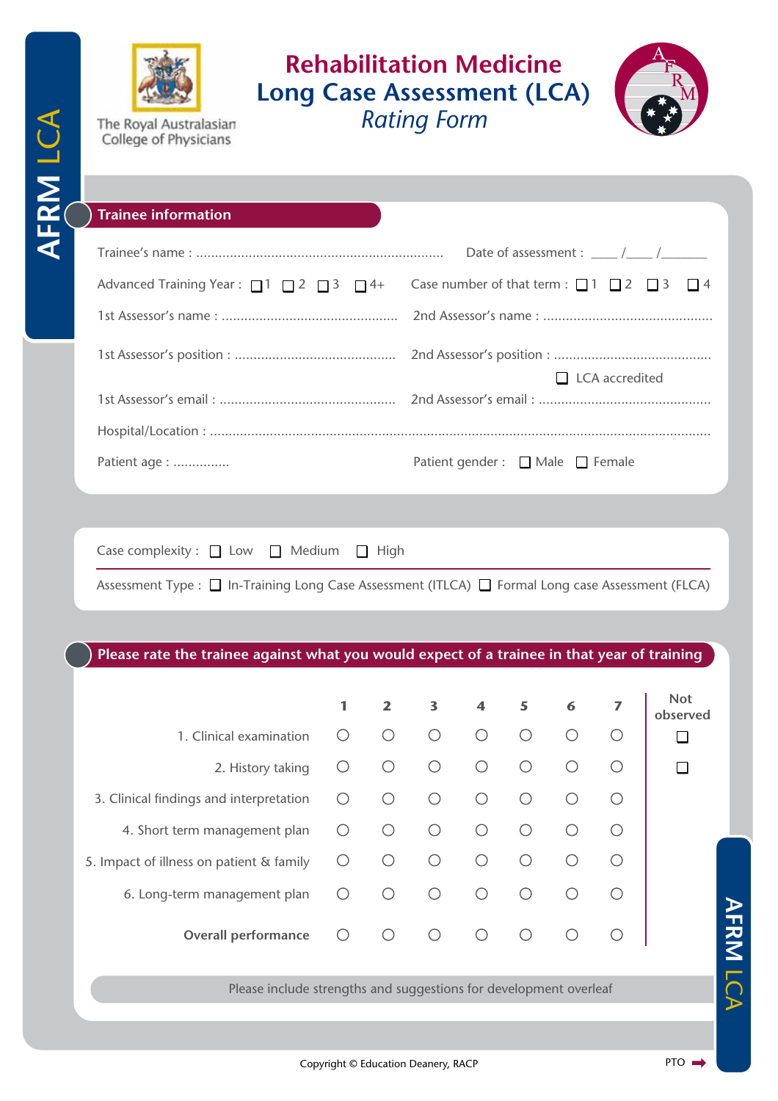

The Royal Australasian College of Physicians

## **Rehabilitation Medicine Long Case Assessment (LCA)** *Rating Form*



## **Trainee information**

|                                                               | Date of assessment : $\frac{1}{\sqrt{1-\frac{1}{1-\cdots}}}}$  |  |  |  |  |  |
|---------------------------------------------------------------|----------------------------------------------------------------|--|--|--|--|--|
| Advanced Training Year : $\Box$ 1 $\Box$ 2 $\Box$ 3 $\Box$ 4+ | Case number of that term : $\Box$ 1 $\Box$ 2 $\Box$ 3 $\Box$ 4 |  |  |  |  |  |
|                                                               |                                                                |  |  |  |  |  |
|                                                               | $\Box$ LCA accredited                                          |  |  |  |  |  |
|                                                               |                                                                |  |  |  |  |  |
|                                                               |                                                                |  |  |  |  |  |
| Patient age :                                                 | Patient gender : $\Box$ Male $\Box$ Female                     |  |  |  |  |  |

Case complexity :  $\Box$  Low  $\Box$  Medium  $\Box$  High

Assessment Type :  $\Box$  In-Training Long Case Assessment (ITLCA)  $\Box$  Formal Long case Assessment (FLCA)

**Please rate the trainee against what you would expect of a trainee in that year of training**

|                                                                   | 1          | $\mathbf{z}$ | 3          | $\overline{\mathbf{4}}$ | 5          | 6 | 7 | <b>Not</b><br>observed |
|-------------------------------------------------------------------|------------|--------------|------------|-------------------------|------------|---|---|------------------------|
| 1. Clinical examination                                           | ∩          | ∩            | ∩          | ∩                       | ∩          |   |   |                        |
| 2. History taking                                                 | ◯          | ∩            | $\bigcirc$ | ∩                       |            |   |   |                        |
| 3. Clinical findings and interpretation                           | $\bigcirc$ | ∩            | ∩          | ∩                       |            |   |   |                        |
| 4. Short term management plan                                     | ∩          | $\bigcirc$   | $\bigcirc$ | ∩                       | ∩          |   |   |                        |
| 5. Impact of illness on patient & family                          | ∩          | ∩            | ∩          | ∩                       |            |   |   |                        |
| 6. Long-term management plan                                      | O          | ∩            | ∩          | ∩                       |            |   |   |                        |
| <b>Overall performance</b>                                        | $\bigcirc$ | $\bigcirc$   | $\bigcirc$ | $\bigcirc$              | $\bigcirc$ |   |   | ストスプ                   |
| Please include strengths and suggestions for development overleaf |            |              |            |                         |            |   |   |                        |